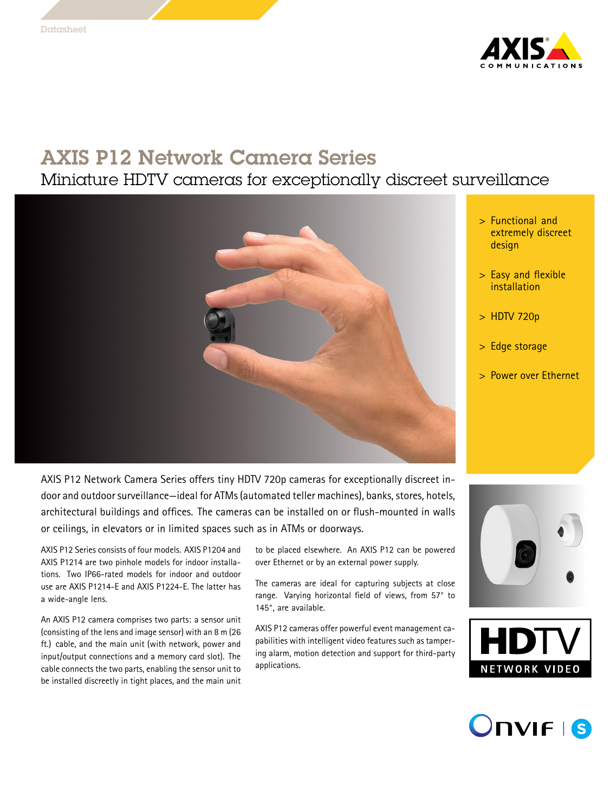

# AXIS P12 Network Camera Series

### Miniature HDTV cameras for exceptionally discreet surveillance



- <sup>&</sup>gt; Functional and extremely discreet design
- <sup>&</sup>gt; Easy and flexible installation
- <sup>&</sup>gt; HDTV 720p
- <sup>&</sup>gt; Edge storage
- <sup>&</sup>gt; Power over Ethernet

AXIS P12 Network Camera Series offers tiny HDTV 720p cameras for exceptionally discreet indoor and outdoor surveillance—ideal for ATMs (automated teller machines), banks, stores, hotels, architectural buildings and offices. The cameras can be installed on or flush-mounted in walls or ceilings, in elevators or in limited spaces such as in ATMs or doorways.

AXIS P12 Series consists of four models. AXIS P1204 and AXIS P1214 are two pinhole models for indoor installations. Two IP66-rated models for indoor and outdoor use are AXIS P1214-E and AXIS P1224-E. The latter has <sup>a</sup> wide-angle lens.

An AXIS P12 camera comprises two parts: <sup>a</sup> sensor unit (consisting of the lens and image sensor) with an <sup>8</sup> <sup>m</sup> (26 ft.) cable, and the main unit (with network, power and input/output connections and <sup>a</sup> memory card slot). The cable connects the two parts, enabling the sensor unit to be installed discreetly in tight places, and the main unit

to be placed elsewhere. An AXIS P12 can be powered over Ethernet or by an external power supply.

The cameras are ideal for capturing subjects at close range. Varying horizontal field of views, from 57° to 145°, are available.

AXIS P12 cameras offer powerful event management capabilities with intelligent video features such as tampering alarm, motion detection and support for third-party applications.





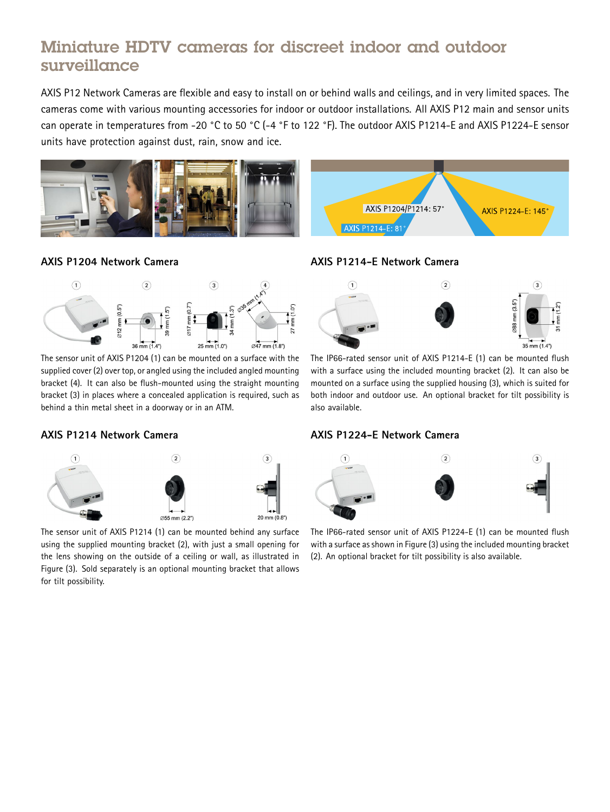## Miniature HDTV cameras for discreet indoor and outdoor surveillance

AXIS P12 Network Cameras are flexible and easy to install on or behind walls and ceilings, and in very limited spaces. The cameras come with various mounting accessories for indoor or outdoor installations. All AXIS P12 main and sensor units can operate in temperatures from -20 °C to <sup>50</sup> °C (-4 °F to <sup>122</sup> °F). The outdoor AXIS P1214-E and AXIS P1224-E sensor units have protection against dust, rain, snow and ice.







The sensor unit of AXIS P1204 (1) can be mounted on <sup>a</sup> surface with the supplied cover (2) over top, or angled using the included angled mounting bracket (4). It can also be flush-mounted using the straight mounting bracket (3) in places where <sup>a</sup> concealed application is required, such as behind <sup>a</sup> thin metal sheet in <sup>a</sup> doorway or in an ATM.

#### **AXIS P1214 Network Camera**



The sensor unit of AXIS P1214 (1) can be mounted behind any surface using the supplied mounting bracket (2), with just <sup>a</sup> small opening for the lens showing on the outside of <sup>a</sup> ceiling or wall, as illustrated in Figure (3). Sold separately is an optional mounting bracket that allows for tilt possibility.

### **AXIS P1214-E Network Camera**

AXIS P1214-E: 81°



AXIS P1204/P1214: 57° AXIS P1224-E: 145

The IP66-rated sensor unit of AXIS P1214-E (1) can be mounted flush with <sup>a</sup> surface using the included mounting bracket (2). It can also be mounted on <sup>a</sup> surface using the supplied housing (3), which is suited for both indoor and outdoor use. An optional bracket for tilt possibility is also available.

#### **AXIS P1224-E Network Camera**



The IP66-rated sensor unit of AXIS P1224-E (1) can be mounted flush with a surface as shown in Figure (3) using the included mounting bracket (2). An optional bracket for tilt possibility is also available.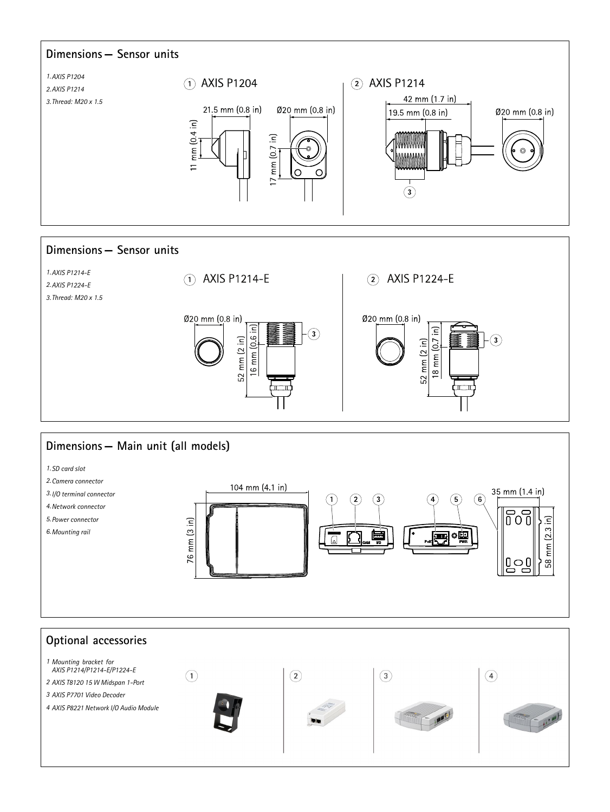